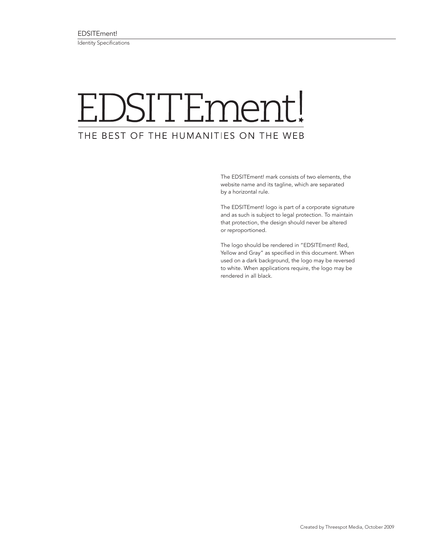## EDSITEment! THE BEST OF THE HUMANITIES ON THE WEB

The EDSITEment! mark consists of two elements, the website name and its tagline, which are separated by a horizontal rule.

The EDSITEment! logo is part of a corporate signature and as such is subject to legal protection. To maintain that protection, the design should never be altered or reproportioned.

The logo should be rendered in "EDSITEment! Red, Yellow and Gray" as specified in this document. When used on a dark background, the logo may be reversed to white. When applications require, the logo may be rendered in all black.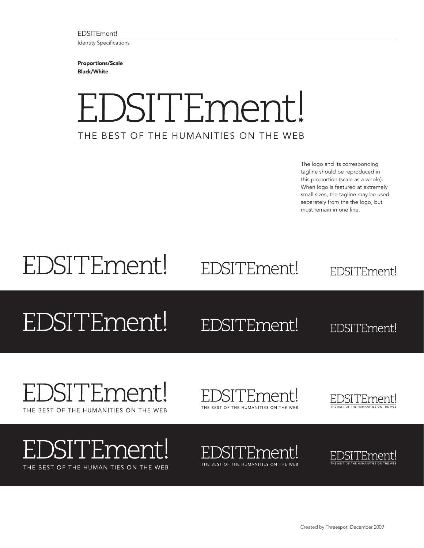EDSITEment! Identity Specifications

Proportions/Scale Black/White



The logo and its corresponding tagline should be reproduced in this proportion (scale as a whole). When logo is featured at extremely small sizes, the tagline may be used separately from the the logo, but must remain in one line.

## EDSITEment!

EDSITEment!

EDSITEment!

## EDSITEment!

## EDSITEment!

EDSITEment!





)SITEment!





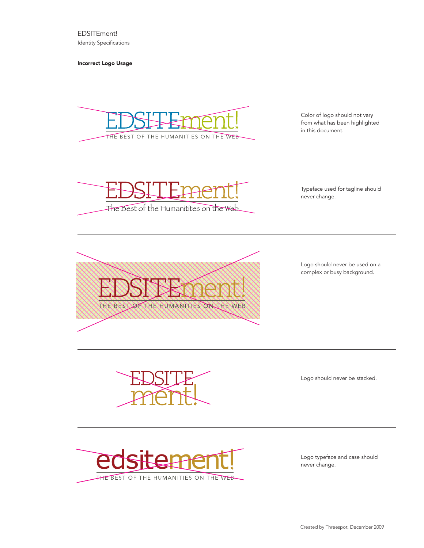EDSITEment!

Identity Specifications

Incorrect Logo Usage



Color of logo should not vary from what has been highlighted in this document.



Typeface used for tagline should never change.



Logo should never be used on a complex or busy background.

The Best of the Best of the Best of the Best of the Best of the Websterly

Logo should never be stacked.



Logo typeface and case should never change.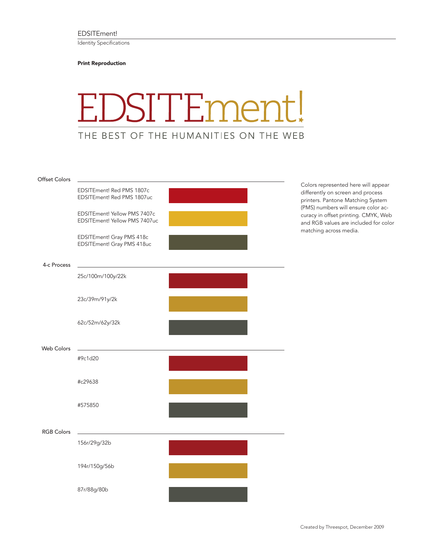Identity Specifications

Print Reproduction



| Offset Colors     |                                                               |  |
|-------------------|---------------------------------------------------------------|--|
|                   | EDSITEment! Red PMS 1807c<br>EDSITEment! Red PMS 1807uc       |  |
|                   | EDSITEment! Yellow PMS 7407c<br>EDSITEment! Yellow PMS 7407uc |  |
|                   | EDSITEment! Gray PMS 418c<br>EDSITEment! Gray PMS 418uc       |  |
| 4-c Process       |                                                               |  |
|                   | 25c/100m/100y/22k                                             |  |
|                   | 23c/39m/91y/2k                                                |  |
|                   | 62c/52m/62y/32k                                               |  |
| Web Colors        |                                                               |  |
|                   | #9c1d20                                                       |  |
|                   | #c29638                                                       |  |
|                   | #575850                                                       |  |
| <b>RGB Colors</b> |                                                               |  |
|                   | 156r/29g/32b                                                  |  |
|                   | 194r/150g/56b                                                 |  |
|                   | 87r/88g/80b                                                   |  |

Colors represented here will appear differently on screen and process printers. Pantone Matching System (PMS) numbers will ensure color accuracy in offset printing. CMYK, Web and RGB values are included for color matching across media.